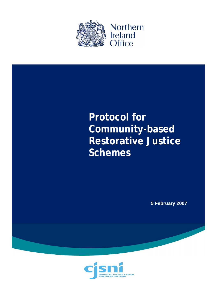

# **Protocol for Community-based Restorative Justice Schemes**

**5 February 2007** 

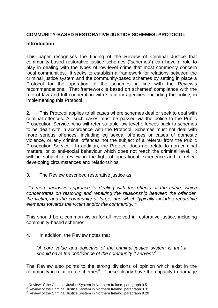# **COMMUNITY-BASED RESTORATIVE JUSTICE SCHEMES: PROTOCOL**

## **Introduction**

This paper recognises the finding of the Review of Criminal Justice that community-based restorative justice schemes ("schemes") can have a role to play in dealing with the types of low-level crime that most commonly concern local communities. It seeks to establish a framework for relations between the criminal justice system and the community-based schemes by setting in place a Protocol for the operation of the schemes in line with the Review's recommendations. That framework is based on schemes' compliance with the rule of law and full cooperation with statutory agencies, including the police, in implementing this Protocol.

2. This Protocol applies to all cases where schemes deal or seek to deal with criminal offences. All such cases must be passed via the police to the Public Prosecution Service, who will refer suitable low level offences back to schemes to be dealt with in accordance with the Protocol. Schemes must not deal with more serious offences, including eg sexual offences or cases of domestic violence, or any criminal offences not the subject of a referral from the Public Prosecution Service. In addition, the Protocol does not relate to non-criminal matters, or to anti-social behaviour which does not reach the criminal level. It will be subject to review in the light of operational experience and to reflect developing circumstances and relationships.

3. The Review described restorative justice as:

 *"a more inclusive approach to dealing with the effects of the crime, which concentrates on restoring and repairing the relationship between the offender, the victim, and the community at large, and which typically includes reparative elements towards the victim and/or the community."<sup>1</sup>*

This should be a common vision for all involved in restorative justice, including community-based schemes.

4. In addition, the Review notes that

1

*"A core value and objective of the criminal justice system is that it should have the confidence of the community it serves".2*

The Review also points to the strong divisions of opinion which exist in the community in relation to schemes<sup>3</sup>. These clearly have the capacity to damage

<sup>1</sup> Review of the Criminal Justice System in Northern Ireland, paragraph 9.5

 $2$  Review of the Criminal Justice System in Northern Ireland, paragraph 3.31

<sup>&</sup>lt;sup>3</sup> Review of the Criminal Justice System in Northern Ireland, paragraph 9.20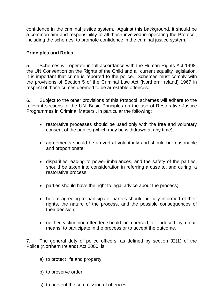confidence in the criminal justice system. Against this background, it should be a common aim and responsibility of all those involved in operating the Protocol, including the schemes, to promote confidence in the criminal justice system.

# **Principles and Roles**

5. Schemes will operate in full accordance with the Human Rights Act 1998, the UN Convention on the Rights of the Child and all current equality legislation. It is important that crime is reported to the police. Schemes must comply with the provisions of Section 5 of the Criminal Law Act (Northern Ireland) 1967 in respect of those crimes deemed to be arrestable offences.

6. Subject to the other provisions of this Protocol, schemes will adhere to the relevant sections of the UN 'Basic Principles on the use of Restorative Justice Programmes in Criminal Matters', in particular the following:

- restorative processes should be used only with the free and voluntary consent of the parties (which may be withdrawn at any time);
- agreements should be arrived at voluntarily and should be reasonable and proportionate;
- disparities leading to power imbalances, and the safety of the parties, should be taken into consideration in referring a case to, and during, a restorative process;
- parties should have the right to legal advice about the process;
- before agreeing to participate, parties should be fully informed of their rights, the nature of the process, and the possible consequences of their decision;
- neither victim nor offender should be coerced, or induced by unfair means, to participate in the process or to accept the outcome.

7. The general duty of police officers, as defined by section 32(1) of the Police (Northern Ireland) Act 2000, is

- a) to protect life and property;
- b) to preserve order;
- c) to prevent the commission of offences;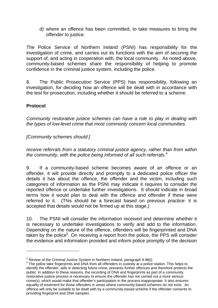d) where an offence has been committed, to take measures to bring the offender to justice.

The Police Service of Northern Ireland (PSNI) has responsibility for the investigation of crime, and carries out its functions with the aim of securing the support of, and acting in cooperation with, the local community. As noted above, community-based schemes share the responsibility of helping to promote confidence in the criminal justice system, including the police.

8. The Public Prosecution Service (PPS) has responsibility, following an investigation, for deciding how an offence will be dealt with in accordance with the test for prosecution, including whether it should be referred to a scheme.

# **Protocol**

1

*Community restorative justice schemes can have a role to play in dealing with the types of low-level crime that most commonly concern local communities.* 

# *[Community schemes should:]*

*receive referrals from a statutory criminal justice agency, rather than from within the community, with the police being informed of all such referrals.4*

9. If a community-based scheme becomes aware of an offence or an offender, it will provide directly and promptly to a dedicated police officer the details it has about the offence, the offender and the victim, including such categories of information as the PSNI may indicate it requires to consider the reported offence or undertake further investigations. It should indicate in broad terms how it would plan to deal with the offence and offender if these were referred to it. (This should be a forecast based on previous practice: it is accepted that details would not be firmed up at this stage.)

10. The PSNI will consider the information received and determine whether it is necessary to undertake investigations to verify and add to the information. Depending on the nature of the offence, offenders will be fingerprinted and DNA taken by the police<sup>5</sup>. On receiving a report from the police, the PPS will consider the evidence and information provided and inform police promptly of the decision

 $4$  Review of the Criminal Justice System in Northern Ireland, paragraph 9.98(i)

<sup>&</sup>lt;sup>5</sup> The police take fingerprints and DNA from all offenders in custody at a police station. This helps to identify the offender, aids in detecting future crime, prevents further offences and therefore protects the public. In addition to these reasons, the recording of DNA and fingerprints as part of a community restorative justice process is necessary to ensure the offender has not carried out a more serious crime(s), which would make that offender's participation in the process inappropriate. It also ensures equality of treatment for those offenders in areas where community-based schemes do not exist. An offence will only be suitable to be dealt with by a community-based scheme if the offender consents to providing fingerprint and DNA samples.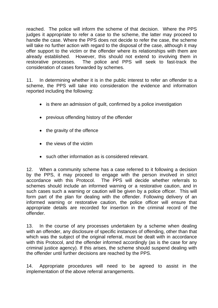reached. The police will inform the scheme of that decision. Where the PPS judges it appropriate to refer a case to the scheme, the latter may proceed to handle the case. Where the PPS does not decide to refer the case, the scheme will take no further action with regard to the disposal of the case, although it may offer support to the victim or the offender where its relationships with them are already established. However, this should not extend to involving them in restorative processes. The police and PPS will seek to fast-track the consideration of cases forwarded by schemes.

11. In determining whether it is in the public interest to refer an offender to a scheme, the PPS will take into consideration the evidence and information reported including the following:

- is there an admission of guilt, confirmed by a police investigation
- previous offending history of the offender
- the gravity of the offence
- the views of the victim
- such other information as is considered relevant.

12. When a community scheme has a case referred to it following a decision by the PPS, it may proceed to engage with the person involved in strict accordance with this Protocol. The PPS will decide whether referrals to schemes should include an informed warning or a restorative caution, and in such cases such a warning or caution will be given by a police officer. This will form part of the plan for dealing with the offender. Following delivery of an informed warning or restorative caution, the police officer will ensure that appropriate details are recorded for insertion in the criminal record of the offender.

13. In the course of any processes undertaken by a scheme when dealing with an offender, any disclosure of specific instances of offending, other than that which was the subject of the original referral, must be dealt with in accordance with this Protocol, and the offender informed accordingly (as is the case for any criminal justice agency). If this arises, the scheme should suspend dealing with the offender until further decisions are reached by the PPS.

14. Appropriate procedures will need to be agreed to assist in the implementation of the above referral arrangements.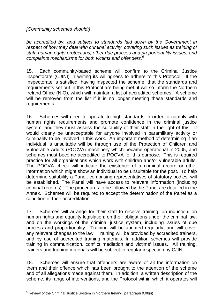*[Community schemes should:]*

*be accredited by, and subject to standards laid down by the Government in respect of how they deal with criminal activity, covering such issues as training of staff, human rights protections, other due process and proportionality issues, and complaints mechanisms for both victims and offenders.<sup>6</sup>*

15. Each community-based scheme will confirm to the Criminal Justice Inspectorate (CJINI) in writing its willingness to adhere to this Protocol. If the Inspectorate is satisfied, having inspected the scheme, that the standards and requirements set out in this Protocol are being met, it will so inform the Northern Ireland Office (NIO), which will maintain a list of accredited schemes. A scheme will be removed from the list if it is no longer meeting these standards and requirements.

16. Schemes will need to operate to high standards in order to comply with human rights requirements and promote confidence in the criminal justice system, and they must assess the suitability of their staff in the light of this. It would clearly be unacceptable for anyone involved in paramilitary activity or criminality to be involved in this work. An important method of determining if an individual is unsuitable will be through use of the Protection of Children and Vulnerable Adults (POCVA) machinery which became operational in 2005, and schemes must become accredited to POCVA for this purpose. This is required practice for all organisations which work with children and/or vulnerable adults. The POCVA check will indicate the existence of a criminal record or other information which might show an individual to be unsuitable for the post. To help determine suitability a Panel, comprising representatives of statutory bodies, will be established. The Panel will have access to relevant information (including criminal records). The procedures to be followed by the Panel are detailed in the Annex. Schemes will be required to accept the determination of the Panel as a condition of their accreditation.

17. Schemes will arrange for their staff to receive training, on induction, on human rights and equality legislation; on their obligations under the criminal law; and on the workings of the criminal justice system, including issues of due process and proportionality. Training will be updated regularly, and will cover any relevant changes to the law. Training will be provided by accredited trainers, and by use of accredited training materials. In addition schemes will provide training in communication, conflict mediation and victims' issues. All training, trainers and training materials will be subject to regular inspection by CJINI.

18. Schemes will ensure that offenders are aware of all the information on them and their offence which has been brought to the attention of the scheme and of all allegations made against them. In addition, a written description of the scheme, its range of interventions, and the Protocol within which it operates will

<sup>1</sup>  $6$  Review of the Criminal Justice System in Northern Ireland, paragraph 9.98(ii)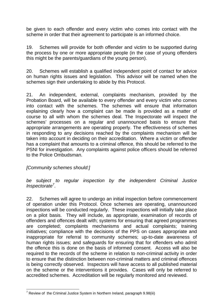be given to each offender and every victim who comes into contact with the scheme in order that their agreement to participate is an informed choice.

19. Schemes will provide for both offender and victim to be supported during the process by one or more appropriate people (in the case of young offenders this might be the parents/guardians of the young person).

20. Schemes will establish a qualified independent point of contact for advice on human rights issues and legislation. This advisor will be named when the schemes sign their undertaking to abide by this Protocol.

21. An independent, external, complaints mechanism, provided by the Probation Board, will be available to every offender and every victim who comes into contact with the schemes. The schemes will ensure that information explaining clearly how a complaint can be made is provided as a matter of course to all with whom the schemes deal. The Inspectorate will inspect the schemes' processes on a regular and unannounced basis to ensure that appropriate arrangements are operating properly. The effectiveness of schemes in responding to any decisions reached by the complaints mechanism will be taken into account in deciding on their accreditation. Where a victim or offender has a complaint that amounts to a criminal offence, this should be referred to the PSNI for investigation. Any complaints against police officers should be referred to the Police Ombudsman.

*[Community schemes should:]* 

*be subject to regular inspection by the independent Criminal Justice Inspectorate<sup>7</sup>* .

22. Schemes will agree to undergo an initial inspection before commencement of operation under this Protocol. Once schemes are operating, unannounced inspections will be conducted regularly. These inspections will initially take place on a pilot basis. They will include, as appropriate, examination of records of offenders and offences dealt with; systems for ensuring that agreed programmes are completed; complaints mechanisms and actual complaints; training initiatives; compliance with the decisions of the PPS on cases appropriate and inappropriate for referral to community schemes; up-to-date awareness of human rights issues; and safeguards for ensuring that for offenders who admit the offence this is done on the basis of informed consent. Access will also be required to the records of the scheme in relation to non-criminal activity in order to ensure that the distinction between non-criminal matters and criminal offences is being correctly observed. Inspectors will have access to all published material on the scheme or the interventions it provides. Cases will only be referred to accredited schemes. Accreditation will be regularly monitored and reviewed.

<sup>1</sup> <sup>7</sup> Review of the Criminal Justice System in Northern Ireland, paragraph 9.98(iii)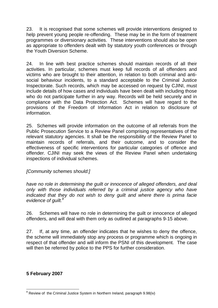23. It is recognised that some schemes will provide interventions designed to help prevent young people re-offending. These may be in the form of treatment programmes or diversionary activities. These interventions should also be open as appropriate to offenders dealt with by statutory youth conferences or through the Youth Diversion Scheme.

24. In line with best practice schemes should maintain records of all their activities. In particular, schemes must keep full records of all offenders and victims who are brought to their attention, in relation to both criminal and antisocial behaviour incidents, to a standard acceptable to the Criminal Justice Inspectorate. Such records, which may be accessed on request by CJINI, must include details of how cases and individuals have been dealt with including those who do not participate further in any way. Records will be held securely and in compliance with the Data Protection Act. Schemes will have regard to the provisions of the Freedom of Information Act in relation to disclosure of information.

25. Schemes will provide information on the outcome of all referrals from the Public Prosecution Service to a Review Panel comprising representatives of the relevant statutory agencies. It shall be the responsibility of the Review Panel to maintain records of referrals, and their outcome, and to consider the effectiveness of specific interventions for particular categories of offence and offender. CJINI may seek the views of the Review Panel when undertaking inspections of individual schemes.

## *[Community schemes should:]*

*have no role in determining the guilt or innocence of alleged offenders, and deal only with those individuals referred by a criminal justice agency who have indicated that they do not wish to deny guilt and where there is prima facie evidence of guilt.<sup>8</sup>*

26. Schemes will have no role in determining the guilt or innocence of alleged offenders, and will deal with them only as outlined at paragraphs 9-15 above.

27. If, at any time, an offender indicates that he wishes to deny the offence, the scheme will immediately stop any process or programme which is ongoing in respect of that offender and will inform the PSNI of this development. The case will then be referred by police to the PPS for further consideration.

## **5 February 2007**

<sup>1</sup> <sup>8</sup> Review of the Criminal Justice System in Northern Ireland, paragraph 9.98(iv)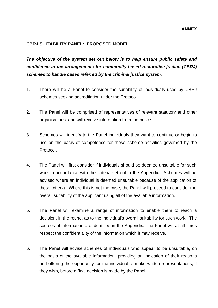### **CBRJ SUITABILITY PANEL: PROPOSED MODEL**

*The objective of the system set out below is to help ensure public safety and confidence in the arrangements for community-based restorative justice (CBRJ) schemes to handle cases referred by the criminal justice system.* 

- 1. There will be a Panel to consider the suitability of individuals used by CBRJ schemes seeking accreditation under the Protocol.
- 2. The Panel will be comprised of representatives of relevant statutory and other organisations and will receive information from the police.
- 3. Schemes will identify to the Panel individuals they want to continue or begin to use on the basis of competence for those scheme activities governed by the Protocol.
- 4. The Panel will first consider if individuals should be deemed unsuitable for such work in accordance with the criteria set out in the Appendix. Schemes will be advised where an individual is deemed unsuitable because of the application of these criteria. Where this is not the case, the Panel will proceed to consider the overall suitability of the applicant using all of the available information.
- 5. The Panel will examine a range of information to enable them to reach a decision, in the round, as to the individual's overall suitability for such work. The sources of information are identified in the Appendix. The Panel will at all times respect the confidentiality of the information which it may receive.
- 6. The Panel will advise schemes of individuals who appear to be unsuitable, on the basis of the available information, providing an indication of their reasons and offering the opportunity for the individual to make written representations, if they wish, before a final decision is made by the Panel.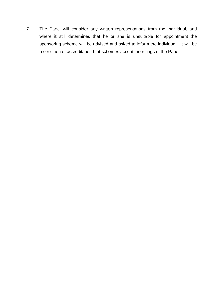7. The Panel will consider any written representations from the individual, and where it still determines that he or she is unsuitable for appointment the sponsoring scheme will be advised and asked to inform the individual. It will be a condition of accreditation that schemes accept the rulings of the Panel.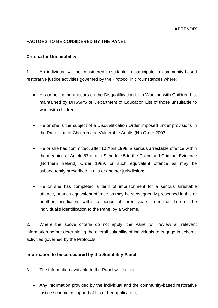#### **APPENDIX**

## **FACTORS TO BE CONSIDERED BY THE PANEL**

#### **Criteria for Unsuitability**

1. An individual will be considered unsuitable to participate in community-based restorative justice activities governed by the Protocol in circumstances where:

- His or her name appears on the Disqualification from Working with Children List maintained by DHSSPS or Department of Education List of those unsuitable to work with children;
- He or she is the subject of a Disqualification Order imposed under provisions in the Protection of Children and Vulnerable Adults (NI) Order 2003;
- He or she has committed, after 10 April 1998, a serious arrestable offence within the meaning of Article 87 of and Schedule 5 to the Police and Criminal Evidence (Northern Ireland) Order 1989, or such equivalent offence as may be subsequently prescribed in this or another jurisdiction;
- He or she has completed a term of imprisonment for a serious arrestable offence, or such equivalent offence as may be subsequently prescribed in this or another jurisdiction, within a period of three years from the date of the individual's identification to the Panel by a Scheme.

2. Where the above criteria do not apply, the Panel will review all relevant information before determining the overall suitability of individuals to engage in scheme activities governed by the Protocols.

#### **Information to be considered by the Suitability Panel**

- 3. The information available to the Panel will include:
	- Any information provided by the individual and the community-based restorative justice scheme in support of his or her application;